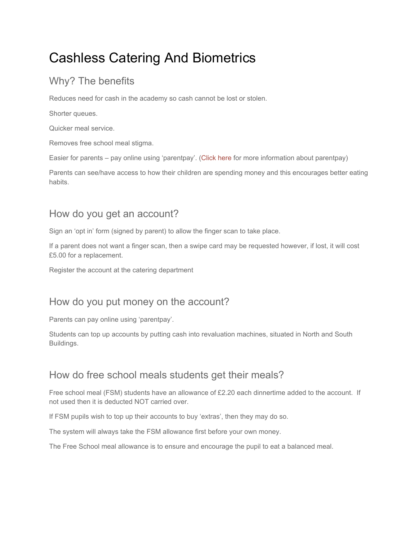# Cashless Catering And Biometrics

# Why? The benefits

Reduces need for cash in the academy so cash cannot be lost or stolen.

Shorter queues.

Quicker meal service.

Removes free school meal stigma.

Easier for parents – pay online using 'parentpay'. ([Click](https://shireoakacademy.co.uk/parent-pay/) here for more information about parentpay)

Parents can see/have access to how their children are spending money and this encourages better eating habits.

## How do you get an account?

Sign an 'opt in' form (signed by parent) to allow the finger scan to take place.

If a parent does not want a finger scan, then a swipe card may be requested however, if lost, it will cost £5.00 for a replacement.

Register the account at the catering department

## How do you put money on the account?

Parents can pay online using 'parentpay'.

Students can top up accounts by putting cash into revaluation machines, situated in North and South Buildings.

### How do free school meals students get their meals?

Free school meal (FSM) students have an allowance of £2.20 each dinnertime added to the account. If not used then it is deducted NOT carried over.

If FSM pupils wish to top up their accounts to buy 'extras', then they may do so.

The system will always take the FSM allowance first before your own money.

The Free School meal allowance is to ensure and encourage the pupil to eat a balanced meal.